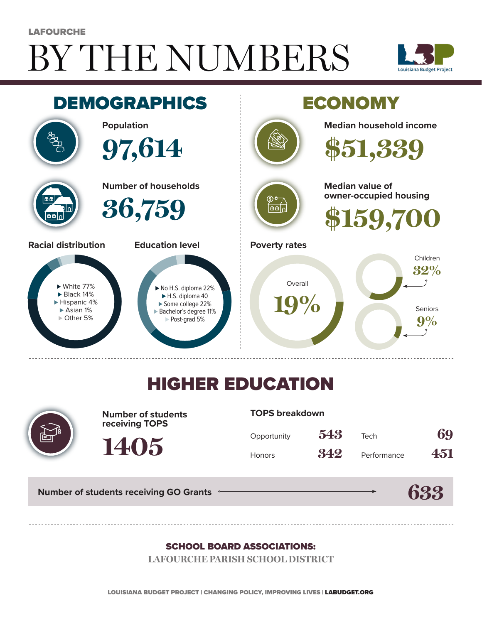# BY THE NUMBERS **LAFOURCHE**





## HIGHER EDUCATION



**Number of students receiving TOPS**

**1405**

#### **TOPS breakdown**

| Opportunity   | 543 | Tech        | 69  |
|---------------|-----|-------------|-----|
| <b>Honors</b> | 342 | Performance | 451 |

**633**

**Number of students receiving GO Grants**

#### SCHOOL BOARD ASSOCIATIONS:

**LAFOURCHE PARISH SCHOOL DISTRICT**